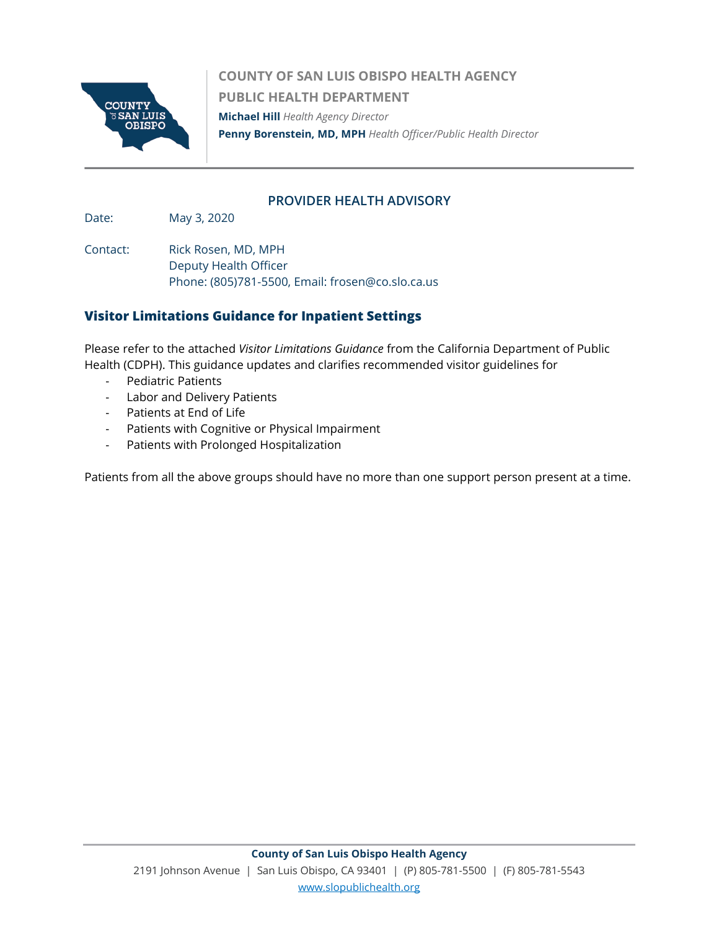

**COUNTY OF SAN LUIS OBISPO HEALTH AGENCY PUBLIC HEALTH DEPARTMENT Michael Hill** *Health Agency Director*  **Penny Borenstein, MD, MPH** *Health Officer/Public Health Director*

## **PROVIDER HEALTH ADVISORY**

Date: May 3, 2020

Contact: Rick Rosen, MD, MPH Deputy Health Officer Phone: (805)781-5500, Email: frosen@co.slo.ca.us

# **Visitor Limitations Guidance for Inpatient Settings**

Please refer to the attached *Visitor Limitations Guidance* from the California Department of Public Health (CDPH). This guidance updates and clarifies recommended visitor guidelines for

- Pediatric Patients
- Labor and Delivery Patients
- Patients at End of Life
- Patients with Cognitive or Physical Impairment
- Patients with Prolonged Hospitalization

Patients from all the above groups should have no more than one support person present at a time.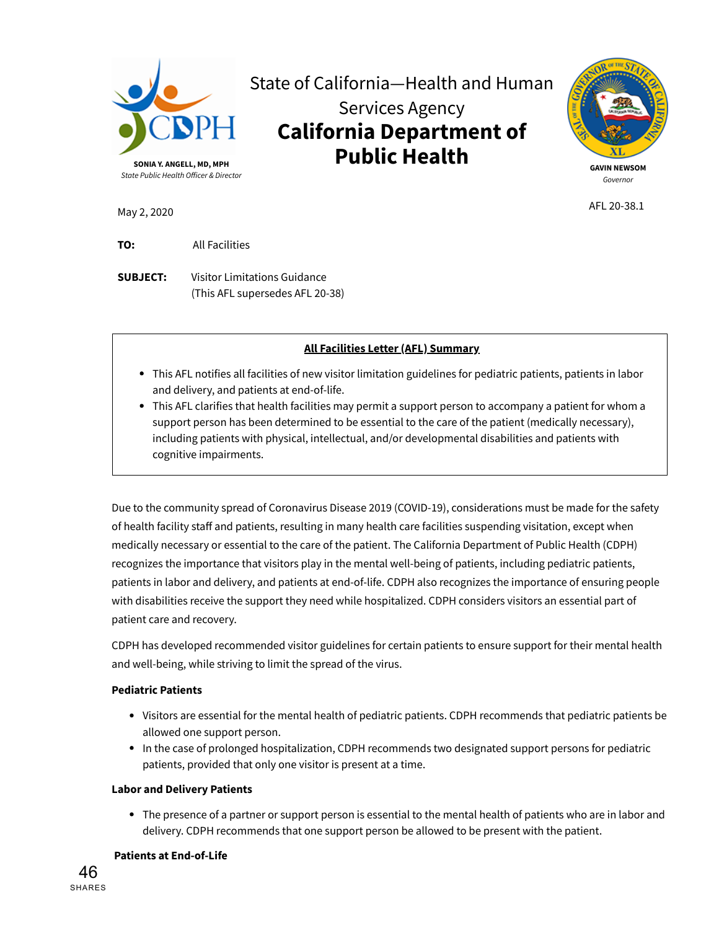



AFL 20-38.1

May 2, 2020

**TO:** All Facilities

**SUBJECT:** Visitor Limitations Guidance (This AFL supersedes AFL 20-38)

## **All Facilities Letter (AFL) Summary**

- This AFL notifies all facilities of new visitor limitation guidelines for pediatric patients, patients in labor and delivery, and patients at end-of-life.
- This AFL clarifies that health facilities may permit a support person to accompany a patient for whom a support person has been determined to be essential to the care of the patient (medically necessary), including patients with physical, intellectual, and/or developmental disabilities and patients with cognitive impairments.

Due to the community spread of Coronavirus Disease 2019 (COVID-19), considerations must be made for the safety of health facility staff and patients, resulting in many health care facilities suspending visitation, except when medically necessary or essential to the care of the patient. The California Department of Public Health (CDPH) recognizes the importance that visitors play in the mental well-being of patients, including pediatric patients, patients in labor and delivery, and patients at end-of-life. CDPH also recognizes the importance of ensuring people with disabilities receive the support they need while hospitalized. CDPH considers visitors an essential part of patient care and recovery.

CDPH has developed recommended visitor guidelines for certain patients to ensure support for their mental health and well-being, while striving to limit the spread of the virus.

#### **Pediatric Patients**

- Visitors are essential for the mental health of pediatric patients. CDPH recommends that pediatric patients be allowed one support person.
- In the case of prolonged hospitalization, CDPH recommends two designated support persons for pediatric patients, provided that only one visitor is present at a time.

#### **Labor and Delivery Patients**

The presence of a partner or support person is essential to the mental health of patients who are in labor and delivery. CDPH recommends that one support person be allowed to be present with the patient.

#### **Patients at End-of-Life**